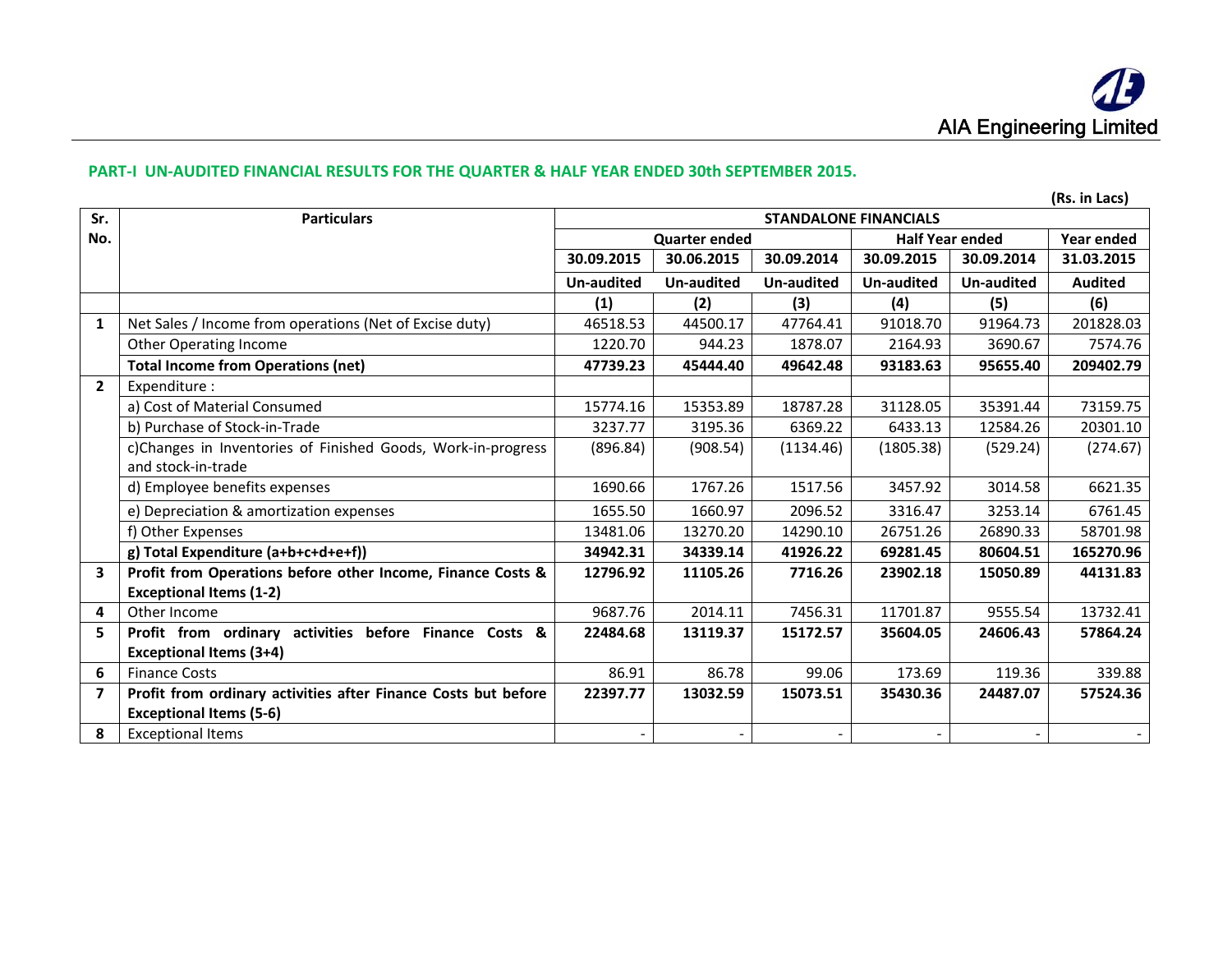## **PART‐I UN‐AUDITED FINANCIAL RESULTS FOR THE QUARTER & HALF YEAR ENDED 30th SEPTEMBER 2015.**

|                         |                                                                |            |                          |                   |                              |                   | (Rs. in Lacs)  |
|-------------------------|----------------------------------------------------------------|------------|--------------------------|-------------------|------------------------------|-------------------|----------------|
| Sr.                     | <b>Particulars</b>                                             |            |                          |                   | <b>STANDALONE FINANCIALS</b> |                   |                |
| No.                     |                                                                |            | <b>Quarter ended</b>     |                   | <b>Half Year ended</b>       |                   | Year ended     |
|                         |                                                                | 30.09.2015 | 30.06.2015               | 30.09.2014        | 30.09.2015                   | 30.09.2014        | 31.03.2015     |
|                         |                                                                | Un-audited | <b>Un-audited</b>        | <b>Un-audited</b> | Un-audited                   | <b>Un-audited</b> | <b>Audited</b> |
|                         |                                                                | (1)        | (2)                      | (3)               | (4)                          | (5)               | (6)            |
| $\mathbf{1}$            | Net Sales / Income from operations (Net of Excise duty)        | 46518.53   | 44500.17                 | 47764.41          | 91018.70                     | 91964.73          | 201828.03      |
|                         | <b>Other Operating Income</b>                                  | 1220.70    | 944.23                   | 1878.07           | 2164.93                      | 3690.67           | 7574.76        |
|                         | <b>Total Income from Operations (net)</b>                      | 47739.23   | 45444.40                 | 49642.48          | 93183.63                     | 95655.40          | 209402.79      |
| $\overline{2}$          | Expenditure:                                                   |            |                          |                   |                              |                   |                |
|                         | a) Cost of Material Consumed                                   | 15774.16   | 15353.89                 | 18787.28          | 31128.05                     | 35391.44          | 73159.75       |
|                         | b) Purchase of Stock-in-Trade                                  | 3237.77    | 3195.36                  | 6369.22           | 6433.13                      | 12584.26          | 20301.10       |
|                         | c)Changes in Inventories of Finished Goods, Work-in-progress   | (896.84)   | (908.54)                 | (1134.46)         | (1805.38)                    | (529.24)          | (274.67)       |
|                         | and stock-in-trade                                             |            |                          |                   |                              |                   |                |
|                         | d) Employee benefits expenses                                  | 1690.66    | 1767.26                  | 1517.56           | 3457.92                      | 3014.58           | 6621.35        |
|                         | e) Depreciation & amortization expenses                        | 1655.50    | 1660.97                  | 2096.52           | 3316.47                      | 3253.14           | 6761.45        |
|                         | f) Other Expenses                                              | 13481.06   | 13270.20                 | 14290.10          | 26751.26                     | 26890.33          | 58701.98       |
|                         | g) Total Expenditure (a+b+c+d+e+f))                            | 34942.31   | 34339.14                 | 41926.22          | 69281.45                     | 80604.51          | 165270.96      |
| $\overline{\mathbf{3}}$ | Profit from Operations before other Income, Finance Costs &    | 12796.92   | 11105.26                 | 7716.26           | 23902.18                     | 15050.89          | 44131.83       |
|                         | <b>Exceptional Items (1-2)</b>                                 |            |                          |                   |                              |                   |                |
| 4                       | Other Income                                                   | 9687.76    | 2014.11                  | 7456.31           | 11701.87                     | 9555.54           | 13732.41       |
| 5                       | Profit from ordinary activities before Finance Costs &         | 22484.68   | 13119.37                 | 15172.57          | 35604.05                     | 24606.43          | 57864.24       |
|                         | <b>Exceptional Items (3+4)</b>                                 |            |                          |                   |                              |                   |                |
| 6                       | <b>Finance Costs</b>                                           | 86.91      | 86.78                    | 99.06             | 173.69                       | 119.36            | 339.88         |
| $\overline{\mathbf{z}}$ | Profit from ordinary activities after Finance Costs but before | 22397.77   | 13032.59                 | 15073.51          | 35430.36                     | 24487.07          | 57524.36       |
|                         | <b>Exceptional Items (5-6)</b>                                 |            |                          |                   |                              |                   |                |
| 8                       | <b>Exceptional Items</b>                                       |            | $\overline{\phantom{a}}$ |                   |                              |                   |                |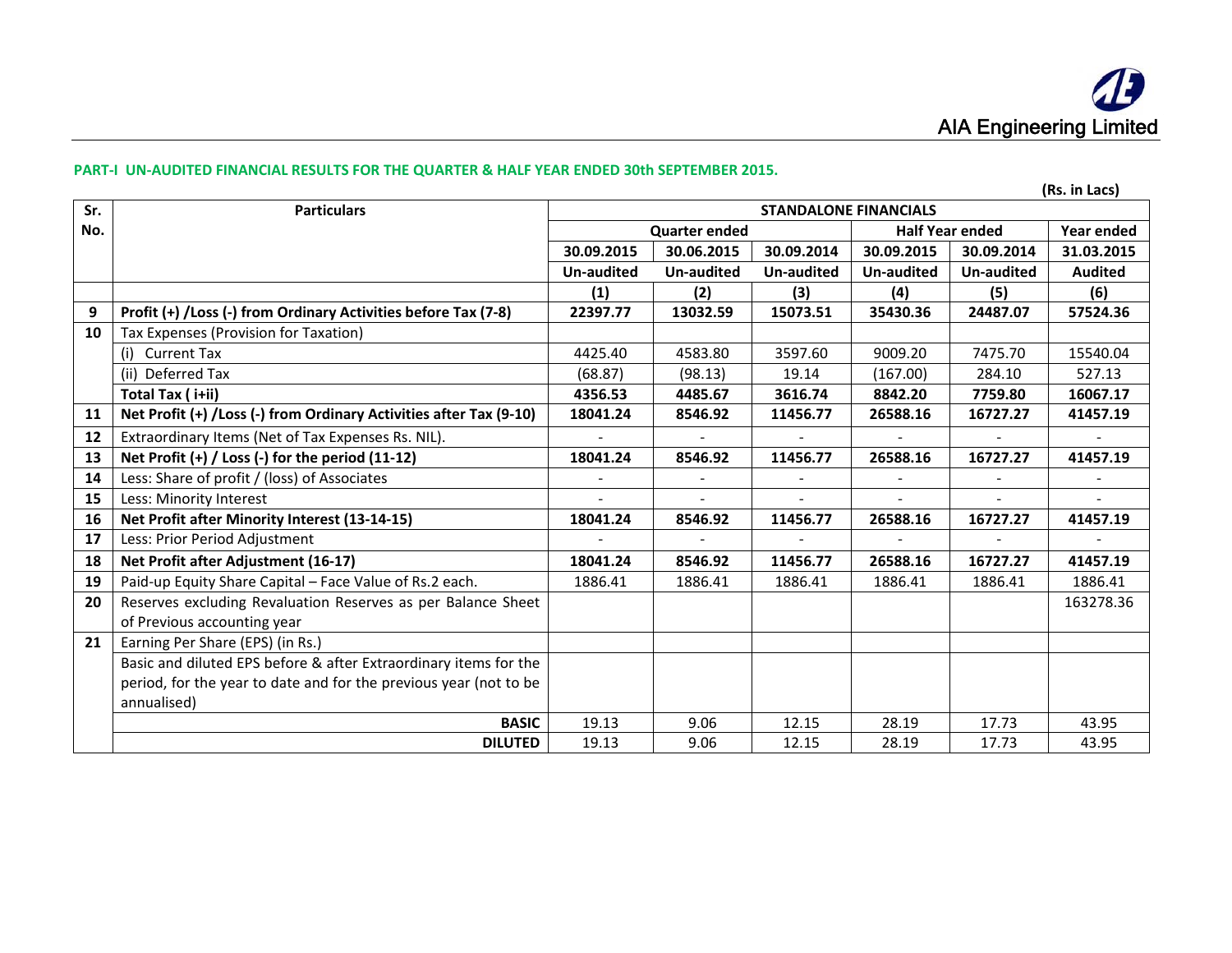#### **PART‐I UN‐AUDITED FINANCIAL RESULTS FOR THE QUARTER & HALF YEAR ENDED 30th SEPTEMBER 2015.**

|     |                                                                    |                              |                      |            |                        |            | (Rs. in Lacs)  |
|-----|--------------------------------------------------------------------|------------------------------|----------------------|------------|------------------------|------------|----------------|
| Sr. | <b>Particulars</b>                                                 | <b>STANDALONE FINANCIALS</b> |                      |            |                        |            |                |
| No. |                                                                    |                              | <b>Quarter ended</b> |            | <b>Half Year ended</b> |            | Year ended     |
|     |                                                                    | 30.09.2015                   | 30.06.2015           | 30.09.2014 | 30.09.2015             | 30.09.2014 | 31.03.2015     |
|     |                                                                    | <b>Un-audited</b>            | Un-audited           | Un-audited | Un-audited             | Un-audited | <b>Audited</b> |
|     |                                                                    | (1)                          | (2)                  | (3)        | (4)                    | (5)        | (6)            |
| 9   | Profit (+) /Loss (-) from Ordinary Activities before Tax (7-8)     | 22397.77                     | 13032.59             | 15073.51   | 35430.36               | 24487.07   | 57524.36       |
| 10  | Tax Expenses (Provision for Taxation)                              |                              |                      |            |                        |            |                |
|     | (i) Current Tax                                                    | 4425.40                      | 4583.80              | 3597.60    | 9009.20                | 7475.70    | 15540.04       |
|     | (ii) Deferred Tax                                                  | (68.87)                      | (98.13)              | 19.14      | (167.00)               | 284.10     | 527.13         |
|     | Total Tax (i+ii)                                                   | 4356.53                      | 4485.67              | 3616.74    | 8842.20                | 7759.80    | 16067.17       |
| 11  | Net Profit (+) /Loss (-) from Ordinary Activities after Tax (9-10) | 18041.24                     | 8546.92              | 11456.77   | 26588.16               | 16727.27   | 41457.19       |
| 12  | Extraordinary Items (Net of Tax Expenses Rs. NIL).                 |                              |                      |            |                        |            |                |
| 13  | Net Profit $(+)$ / Loss $(-)$ for the period $(11-12)$             | 18041.24                     | 8546.92              | 11456.77   | 26588.16               | 16727.27   | 41457.19       |
| 14  | Less: Share of profit / (loss) of Associates                       |                              |                      |            |                        |            |                |
| 15  | Less: Minority Interest                                            |                              |                      | $\sim$     |                        |            |                |
| 16  | Net Profit after Minority Interest (13-14-15)                      | 18041.24                     | 8546.92              | 11456.77   | 26588.16               | 16727.27   | 41457.19       |
| 17  | Less: Prior Period Adjustment                                      |                              |                      |            |                        |            |                |
| 18  | Net Profit after Adjustment (16-17)                                | 18041.24                     | 8546.92              | 11456.77   | 26588.16               | 16727.27   | 41457.19       |
| 19  | Paid-up Equity Share Capital - Face Value of Rs.2 each.            | 1886.41                      | 1886.41              | 1886.41    | 1886.41                | 1886.41    | 1886.41        |
| 20  | Reserves excluding Revaluation Reserves as per Balance Sheet       |                              |                      |            |                        |            | 163278.36      |
|     | of Previous accounting year                                        |                              |                      |            |                        |            |                |
| 21  | Earning Per Share (EPS) (in Rs.)                                   |                              |                      |            |                        |            |                |
|     | Basic and diluted EPS before & after Extraordinary items for the   |                              |                      |            |                        |            |                |
|     | period, for the year to date and for the previous year (not to be  |                              |                      |            |                        |            |                |
|     | annualised)                                                        |                              |                      |            |                        |            |                |
|     | <b>BASIC</b>                                                       | 19.13                        | 9.06                 | 12.15      | 28.19                  | 17.73      | 43.95          |
|     | <b>DILUTED</b>                                                     | 19.13                        | 9.06                 | 12.15      | 28.19                  | 17.73      | 43.95          |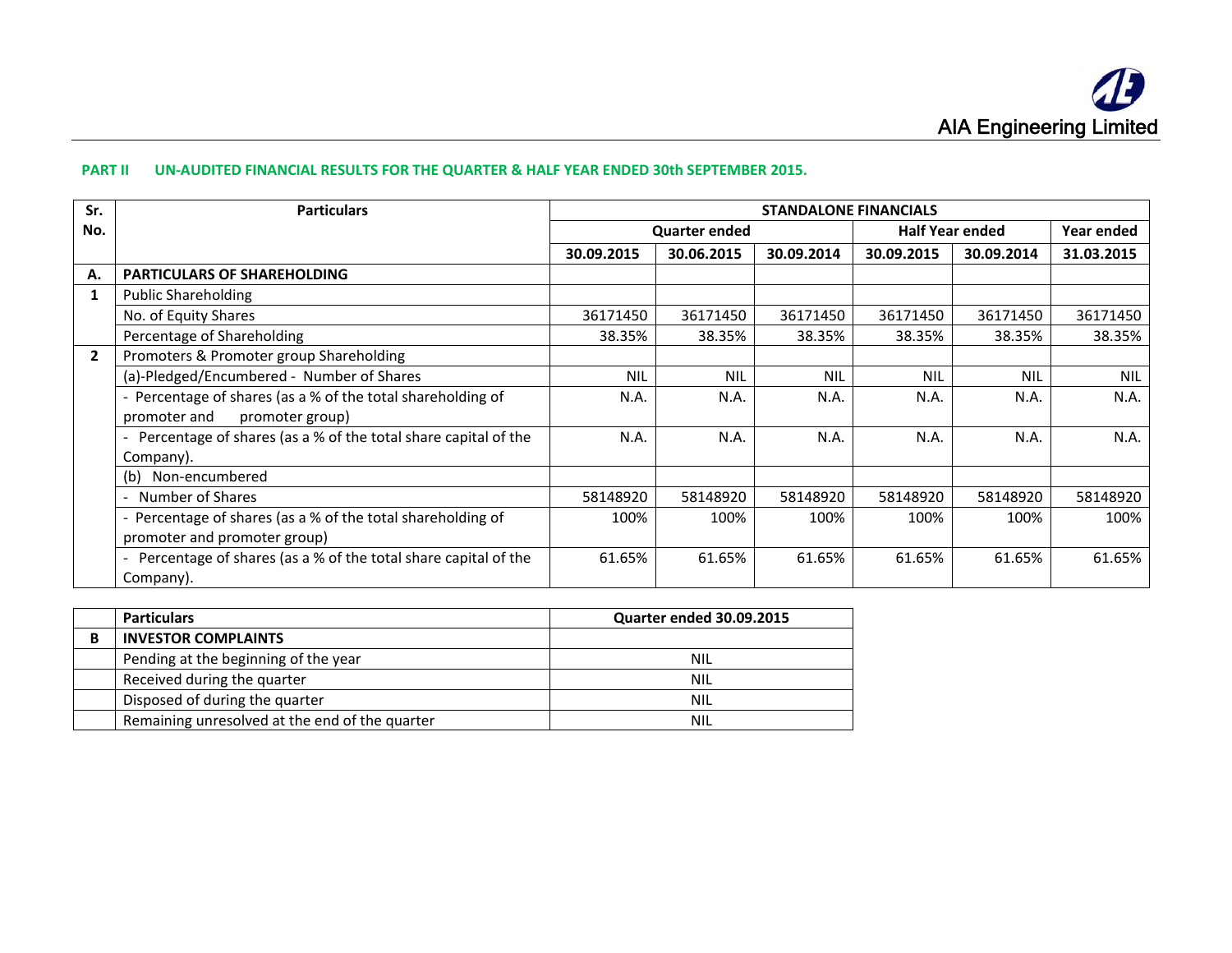#### **PART II UN‐AUDITED FINANCIAL RESULTS FOR THE QUARTER & HALF YEAR ENDED 30th SEPTEMBER 2015.**

| Sr.            | <b>Particulars</b>                                             | <b>STANDALONE FINANCIALS</b> |                      |            |                        |            |            |
|----------------|----------------------------------------------------------------|------------------------------|----------------------|------------|------------------------|------------|------------|
| No.            |                                                                |                              | <b>Quarter ended</b> |            | <b>Half Year ended</b> | Year ended |            |
|                |                                                                | 30.09.2015                   | 30.06.2015           | 30.09.2014 | 30.09.2015             | 30.09.2014 | 31.03.2015 |
| Α.             | <b>PARTICULARS OF SHAREHOLDING</b>                             |                              |                      |            |                        |            |            |
| $\mathbf{1}$   | <b>Public Shareholding</b>                                     |                              |                      |            |                        |            |            |
|                | No. of Equity Shares                                           | 36171450                     | 36171450             | 36171450   | 36171450               | 36171450   | 36171450   |
|                | Percentage of Shareholding                                     | 38.35%                       | 38.35%               | 38.35%     | 38.35%                 | 38.35%     | 38.35%     |
| $\overline{2}$ | Promoters & Promoter group Shareholding                        |                              |                      |            |                        |            |            |
|                | (a)-Pledged/Encumbered - Number of Shares                      | <b>NIL</b>                   | <b>NIL</b>           | <b>NIL</b> | <b>NIL</b>             | <b>NIL</b> | <b>NIL</b> |
|                | - Percentage of shares (as a % of the total shareholding of    |                              | N.A.                 | N.A.       | N.A.                   | N.A.       | N.A.       |
|                | promoter group)<br>promoter and                                |                              |                      |            |                        |            |            |
|                | Percentage of shares (as a % of the total share capital of the | N.A.                         | N.A.                 | N.A.       | N.A.                   | N.A.       | N.A.       |
|                | Company).                                                      |                              |                      |            |                        |            |            |
|                | Non-encumbered<br>(b)                                          |                              |                      |            |                        |            |            |
|                | Number of Shares                                               |                              | 58148920             | 58148920   | 58148920               | 58148920   | 58148920   |
|                | - Percentage of shares (as a % of the total shareholding of    |                              | 100%                 | 100%       | 100%                   | 100%       | 100%       |
|                | promoter and promoter group)                                   |                              |                      |            |                        |            |            |
|                | Percentage of shares (as a % of the total share capital of the | 61.65%                       | 61.65%               | 61.65%     | 61.65%                 | 61.65%     | 61.65%     |
|                | Company).                                                      |                              |                      |            |                        |            |            |

| <b>Particulars</b>                             | <b>Quarter ended 30.09.2015</b> |
|------------------------------------------------|---------------------------------|
| <b>INVESTOR COMPLAINTS</b>                     |                                 |
| Pending at the beginning of the year           | NIL                             |
| Received during the quarter                    | <b>NIL</b>                      |
| Disposed of during the quarter                 | NIL                             |
| Remaining unresolved at the end of the quarter | NIL                             |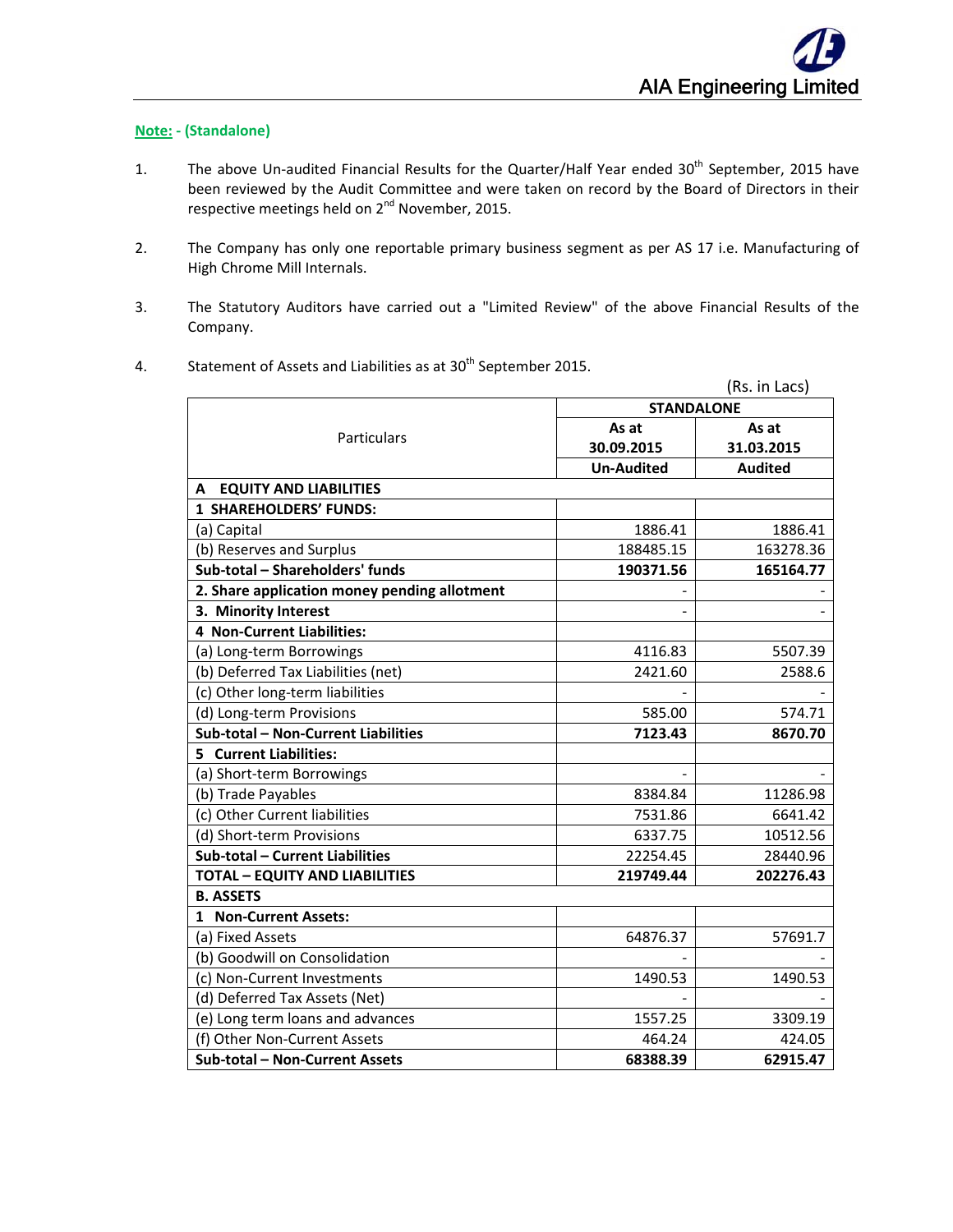# **Note: ‐ (Standalone)**

- 1. The above Un-audited Financial Results for the Quarter/Half Year ended 30<sup>th</sup> September, 2015 have been reviewed by the Audit Committee and were taken on record by the Board of Directors in their respective meetings held on 2<sup>nd</sup> November, 2015.
- 2. The Company has only one reportable primary business segment as per AS 17 i.e. Manufacturing of High Chrome Mill Internals.
- 3. The Statutory Auditors have carried out a "Limited Review" of the above Financial Results of the Company.
	- (Rs. in Lacs) Particulars **STANDALONE As at 30.09.2015 As at 31.03.2015 Un‐Audited Audited A EQUITY AND LIABILITIES 1 SHAREHOLDERS' FUNDS:** (a) Capital 1886.41 **1886.41** 1886.41 (b) Reserves and Surplus  $\vert$  188485.15  $\vert$  163278.36 **Sub‐total – Shareholders' funds 190371.56 165164.77 2. Share application money pending allotment** ‐ ‐ **3.** Minority Interest **CONSISTENT FINITELY FINITELY FINITELY FINITELY FINITELY FINITELY FINITELY 4 Non‐Current Liabilities:** (a) Long-term Borrowings  $\vert$  4116.83  $\vert$  5507.39 (b) Deferred Tax Liabilities (net) 12421.60 2588.6 (c) Other long-term liabilities (d) Long-term Provisions 585.00 574.71 **Sub‐total – Non‐Current Liabilities 7123.43 8670.70 5 Current Liabilities:** (a) Short-term Borrowings (b) Trade Payables 8384.84 11286.98 (c) Other Current liabilities  $\begin{array}{ccc} \hline \end{array}$  7531.86  $\begin{array}{ccc} \hline \end{array}$  6641.42 (d) Short-term Provisions  $\vert$  6337.75 | 10512.56 **Sub‐total – Current Liabilities** 22254.45 28440.96 **TOTAL – EQUITY AND LIABILITIES 219749.44 202276.43 B. ASSETS 1 Non‐Current Assets:** (a) Fixed Assets 64876.37 57691.7 (b) Goodwill on Consolidation (c) Non‐Current Investments 1490.53 1490.53 (d) Deferred Tax Assets (Net) (e) Long term loans and advances  $\vert$  1557.25  $\vert$  3309.19 (f) Other Non-Current Assets 464.24 424.05 **Sub‐total – Non‐Current Assets 68388.39 62915.47**
- 4. Statement of Assets and Liabilities as at  $30<sup>th</sup>$  September 2015.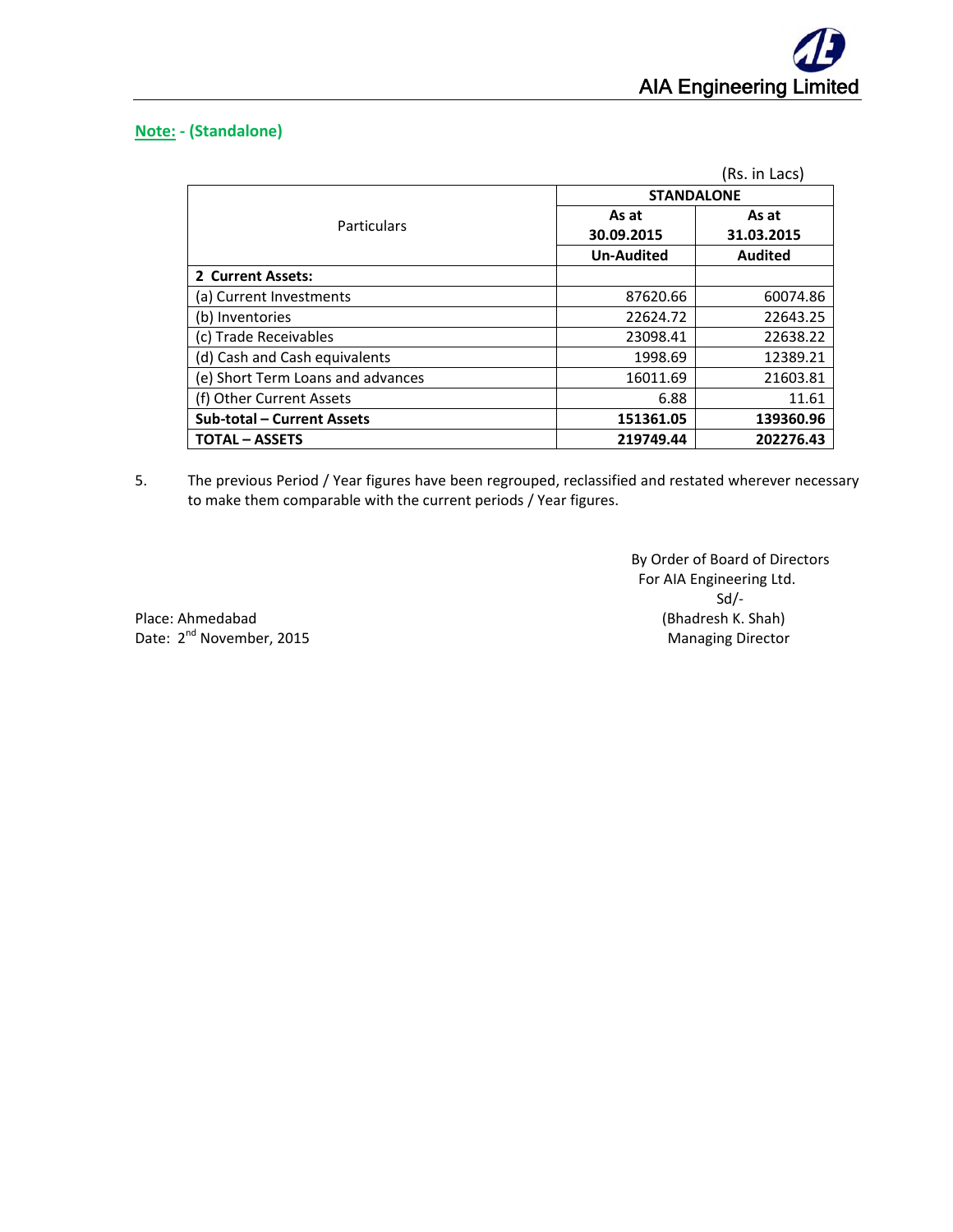

# **Note: ‐ (Standalone)**

|                                   |                     | (Rs. in Lacs)       |
|-----------------------------------|---------------------|---------------------|
|                                   | <b>STANDALONE</b>   |                     |
| Particulars                       | As at<br>30.09.2015 | As at<br>31.03.2015 |
|                                   | <b>Un-Audited</b>   | <b>Audited</b>      |
| 2 Current Assets:                 |                     |                     |
| (a) Current Investments           | 87620.66            | 60074.86            |
| (b) Inventories                   | 22624.72            | 22643.25            |
| (c) Trade Receivables             | 23098.41            | 22638.22            |
| (d) Cash and Cash equivalents     | 1998.69             | 12389.21            |
| (e) Short Term Loans and advances | 16011.69            | 21603.81            |
| (f) Other Current Assets          | 6.88                | 11.61               |
| <b>Sub-total - Current Assets</b> | 151361.05           | 139360.96           |
| <b>TOTAL – ASSETS</b>             | 219749.44           | 202276.43           |

5. The previous Period / Year figures have been regrouped, reclassified and restated wherever necessary to make them comparable with the current periods / Year figures.

 By Order of Board of Directors For AIA Engineering Ltd. Sd/−

Place: Ahmedabad (Bhadresh K. Shah) Date: 2nd November, 2015 Managing Director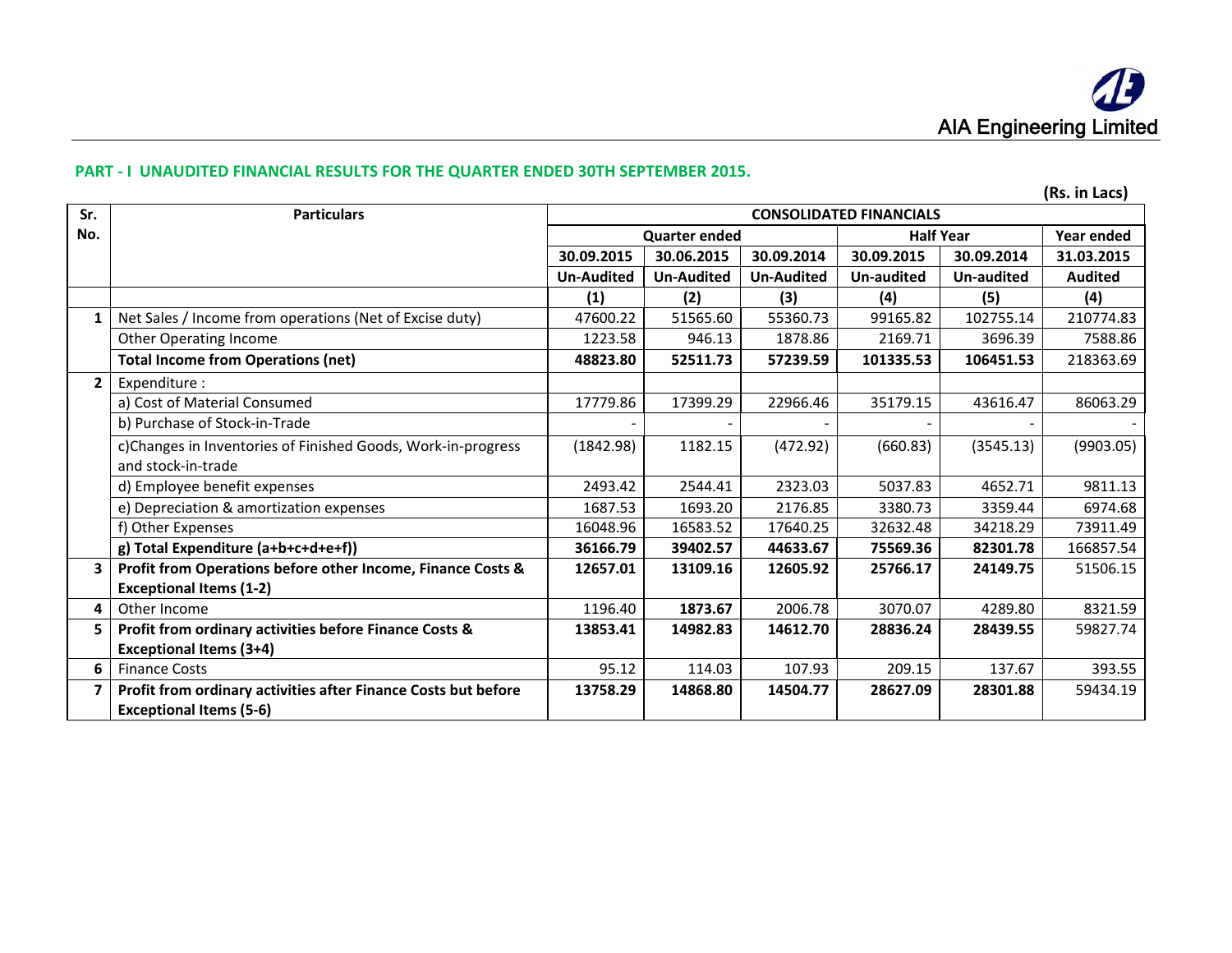### **PART ‐ I UNAUDITED FINANCIAL RESULTS FOR THE QUARTER ENDED 30TH SEPTEMBER 2015.**

| Sr.          | <b>Particulars</b>                                             | <b>CONSOLIDATED FINANCIALS</b> |                      |                   |                          |            | ן נטשם ווו נטון |
|--------------|----------------------------------------------------------------|--------------------------------|----------------------|-------------------|--------------------------|------------|-----------------|
| No.          |                                                                |                                | <b>Quarter ended</b> |                   | <b>Half Year</b>         |            | Year ended      |
|              |                                                                | 30.09.2015                     | 30.06.2015           | 30.09.2014        | 30.09.2015<br>30.09.2014 |            | 31.03.2015      |
|              |                                                                | <b>Un-Audited</b>              | <b>Un-Audited</b>    | <b>Un-Audited</b> | <b>Un-audited</b>        | Un-audited | <b>Audited</b>  |
|              |                                                                | (1)                            | (2)                  | (3)               | (4)                      | (5)        | (4)             |
|              | Net Sales / Income from operations (Net of Excise duty)        | 47600.22                       | 51565.60             | 55360.73          | 99165.82                 | 102755.14  | 210774.83       |
|              | Other Operating Income                                         | 1223.58                        | 946.13               | 1878.86           | 2169.71                  | 3696.39    | 7588.86         |
|              | <b>Total Income from Operations (net)</b>                      | 48823.80                       | 52511.73             | 57239.59          | 101335.53                | 106451.53  | 218363.69       |
| $\mathbf{2}$ | Expenditure :                                                  |                                |                      |                   |                          |            |                 |
|              | a) Cost of Material Consumed                                   | 17779.86                       | 17399.29             | 22966.46          | 35179.15                 | 43616.47   | 86063.29        |
|              | b) Purchase of Stock-in-Trade                                  |                                |                      |                   |                          |            |                 |
|              | c)Changes in Inventories of Finished Goods, Work-in-progress   |                                | 1182.15              | (472.92)          | (660.83)                 | (3545.13)  | (9903.05)       |
|              | and stock-in-trade                                             |                                |                      |                   |                          |            |                 |
|              | d) Employee benefit expenses                                   | 2493.42                        | 2544.41              | 2323.03           | 5037.83                  | 4652.71    | 9811.13         |
|              | e) Depreciation & amortization expenses                        | 1687.53                        | 1693.20              | 2176.85           | 3380.73                  | 3359.44    | 6974.68         |
|              | f) Other Expenses                                              | 16048.96                       | 16583.52             | 17640.25          | 32632.48                 | 34218.29   | 73911.49        |
|              | g) Total Expenditure (a+b+c+d+e+f))                            | 36166.79                       | 39402.57             | 44633.67          | 75569.36                 | 82301.78   | 166857.54       |
| 3            | Profit from Operations before other Income, Finance Costs &    | 12657.01                       | 13109.16             | 12605.92          | 25766.17                 | 24149.75   | 51506.15        |
|              | <b>Exceptional Items (1-2)</b>                                 |                                |                      |                   |                          |            |                 |
| 4            | Other Income                                                   | 1196.40                        | 1873.67              | 2006.78           | 3070.07                  | 4289.80    | 8321.59         |
| 5.           | Profit from ordinary activities before Finance Costs &         | 13853.41                       | 14982.83             | 14612.70          | 28836.24                 | 28439.55   | 59827.74        |
|              | <b>Exceptional Items (3+4)</b>                                 |                                |                      |                   |                          |            |                 |
| 6            | <b>Finance Costs</b>                                           | 95.12                          | 114.03               | 107.93            | 209.15                   | 137.67     | 393.55          |
| 7            | Profit from ordinary activities after Finance Costs but before | 13758.29                       | 14868.80             | 14504.77          | 28627.09                 | 28301.88   | 59434.19        |
|              | <b>Exceptional Items (5-6)</b>                                 |                                |                      |                   |                          |            |                 |

**(Rs. in Lacs)**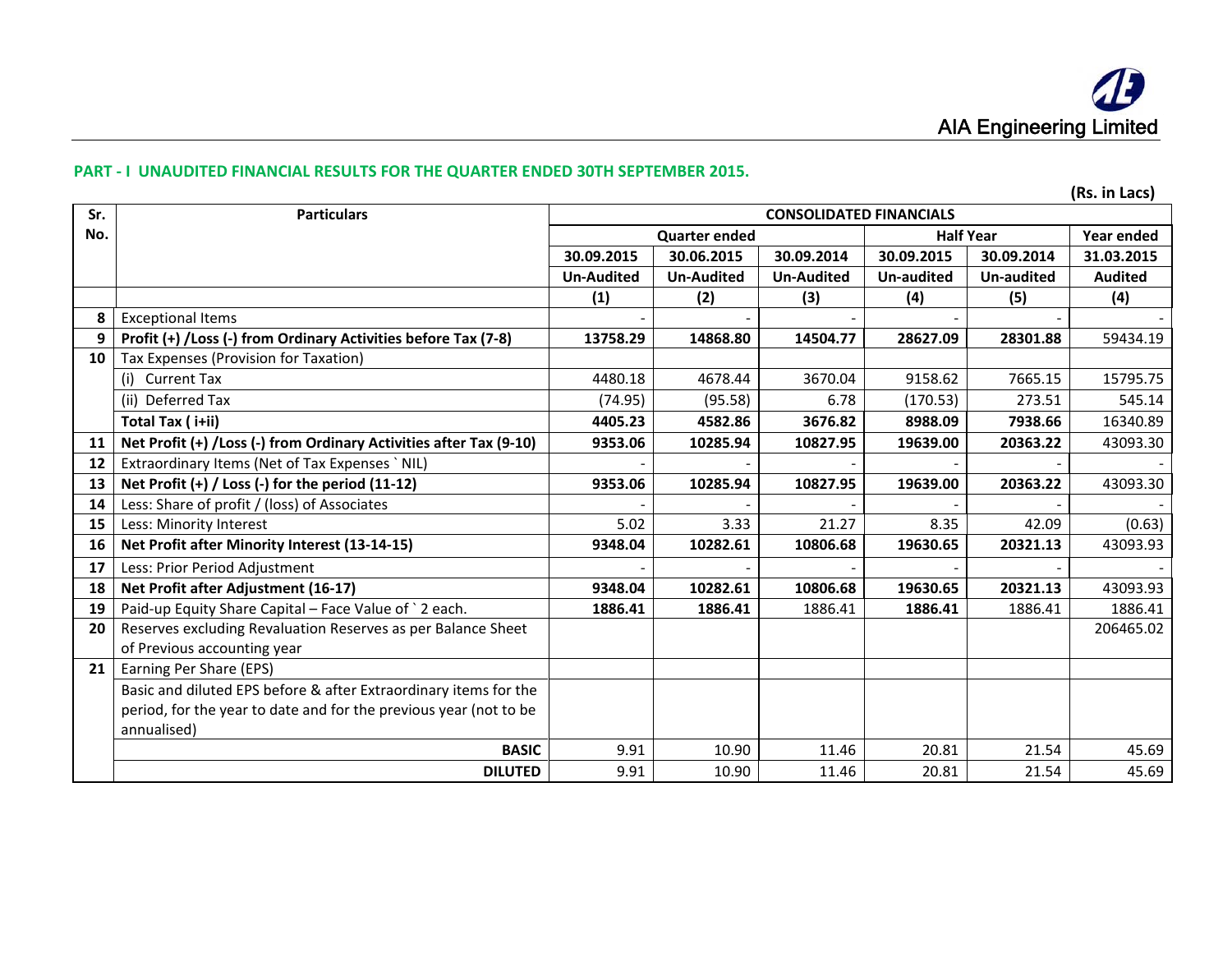### **PART ‐ I UNAUDITED FINANCIAL RESULTS FOR THE QUARTER ENDED 30TH SEPTEMBER 2015.**

|     | (Rs. in Lacs)                                                      |                   |                      |                                |                  |            |                |
|-----|--------------------------------------------------------------------|-------------------|----------------------|--------------------------------|------------------|------------|----------------|
| Sr. | <b>Particulars</b>                                                 |                   |                      | <b>CONSOLIDATED FINANCIALS</b> |                  |            |                |
| No. |                                                                    |                   | <b>Quarter ended</b> |                                | <b>Half Year</b> |            | Year ended     |
|     |                                                                    | 30.09.2015        | 30.06.2015           | 30.09.2014                     | 30.09.2015       | 30.09.2014 | 31.03.2015     |
|     |                                                                    | <b>Un-Audited</b> | <b>Un-Audited</b>    | <b>Un-Audited</b>              | Un-audited       | Un-audited | <b>Audited</b> |
|     |                                                                    | (1)               | (2)                  | (3)                            | (4)              | (5)        | (4)            |
| 8   | <b>Exceptional Items</b>                                           |                   |                      |                                |                  |            |                |
| 9   | Profit (+) /Loss (-) from Ordinary Activities before Tax (7-8)     | 13758.29          | 14868.80             | 14504.77                       | 28627.09         | 28301.88   | 59434.19       |
| 10  | Tax Expenses (Provision for Taxation)                              |                   |                      |                                |                  |            |                |
|     | (i) Current Tax                                                    | 4480.18           | 4678.44              | 3670.04                        | 9158.62          | 7665.15    | 15795.75       |
|     | (ii) Deferred Tax                                                  | (74.95)           | (95.58)              | 6.78                           | (170.53)         | 273.51     | 545.14         |
|     | Total Tax (i+ii)                                                   | 4405.23           | 4582.86              | 3676.82                        | 8988.09          | 7938.66    | 16340.89       |
| 11  | Net Profit (+) /Loss (-) from Ordinary Activities after Tax (9-10) | 9353.06           | 10285.94             | 10827.95                       | 19639.00         | 20363.22   | 43093.30       |
| 12  | Extraordinary Items (Net of Tax Expenses ` NIL)                    |                   |                      |                                |                  |            |                |
| 13  | Net Profit (+) / Loss (-) for the period (11-12)                   | 9353.06           | 10285.94             | 10827.95                       | 19639.00         | 20363.22   | 43093.30       |
| 14  | Less: Share of profit / (loss) of Associates                       |                   |                      |                                |                  |            |                |
| 15  | Less: Minority Interest                                            | 5.02              | 3.33                 | 21.27                          | 8.35             | 42.09      | (0.63)         |
| 16  | Net Profit after Minority Interest (13-14-15)                      | 9348.04           | 10282.61             | 10806.68                       | 19630.65         | 20321.13   | 43093.93       |
| 17  | Less: Prior Period Adjustment                                      |                   |                      |                                |                  |            |                |
| 18  | Net Profit after Adjustment (16-17)                                | 9348.04           | 10282.61             | 10806.68                       | 19630.65         | 20321.13   | 43093.93       |
| 19  | Paid-up Equity Share Capital - Face Value of `2 each.              | 1886.41           | 1886.41              | 1886.41                        | 1886.41          | 1886.41    | 1886.41        |
| 20  | Reserves excluding Revaluation Reserves as per Balance Sheet       |                   |                      |                                |                  |            | 206465.02      |
|     | of Previous accounting year                                        |                   |                      |                                |                  |            |                |
| 21  | Earning Per Share (EPS)                                            |                   |                      |                                |                  |            |                |
|     | Basic and diluted EPS before & after Extraordinary items for the   |                   |                      |                                |                  |            |                |
|     | period, for the year to date and for the previous year (not to be  |                   |                      |                                |                  |            |                |
|     | annualised)                                                        |                   |                      |                                |                  |            |                |
|     | <b>BASIC</b>                                                       | 9.91              | 10.90                | 11.46                          | 20.81            | 21.54      | 45.69          |
|     | <b>DILUTED</b>                                                     | 9.91              | 10.90                | 11.46                          | 20.81            | 21.54      | 45.69          |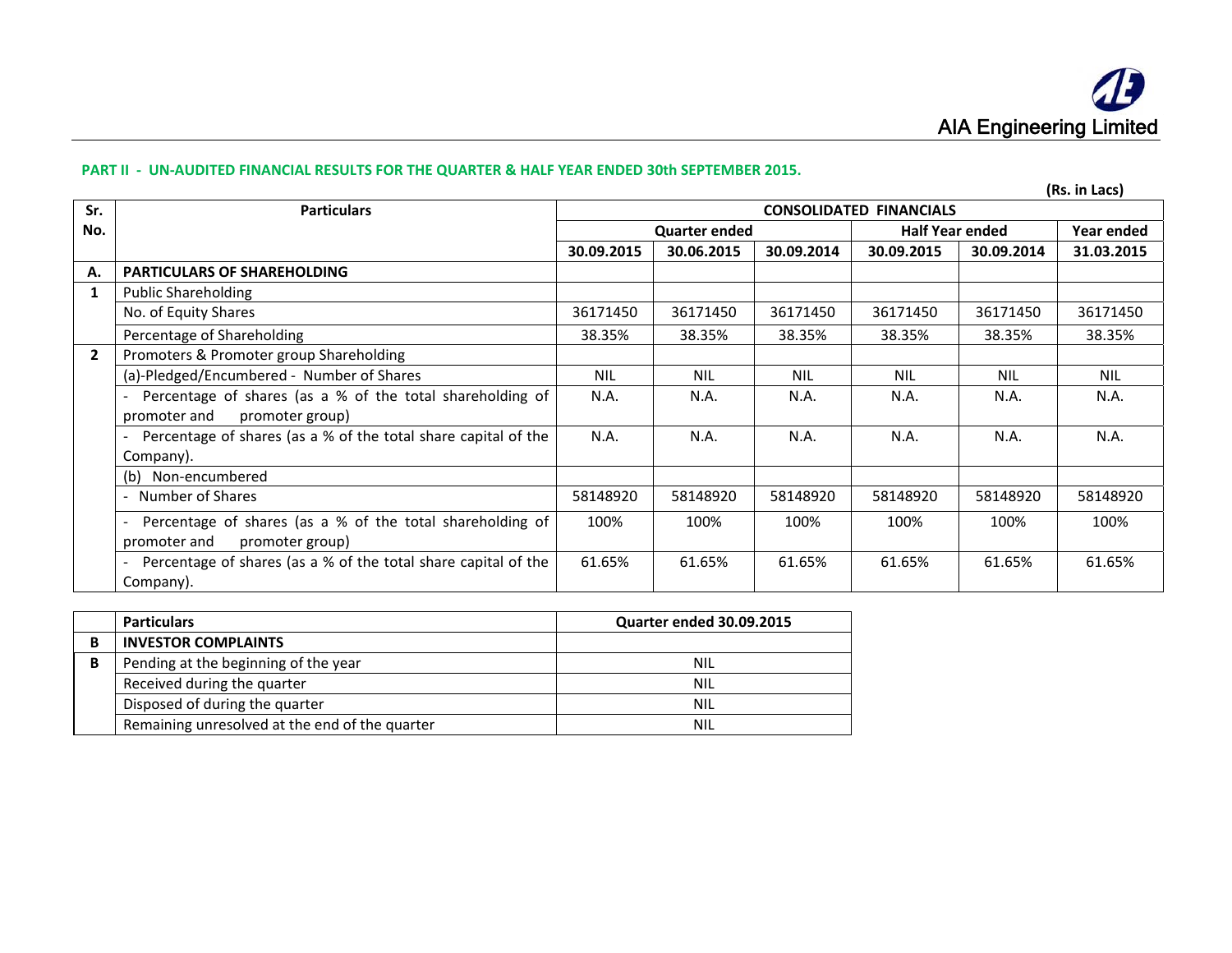#### PART II - UN-AUDITED FINANCIAL RESULTS FOR THE QUARTER & HALF YEAR ENDED 30th SEPTEMBER 2015.

|                |                                                                             |                                |                      |            |                        |            | (Rs. in Lacs) |
|----------------|-----------------------------------------------------------------------------|--------------------------------|----------------------|------------|------------------------|------------|---------------|
| Sr.            | <b>Particulars</b>                                                          | <b>CONSOLIDATED FINANCIALS</b> |                      |            |                        |            |               |
| No.            |                                                                             |                                | <b>Quarter ended</b> |            | <b>Half Year ended</b> | Year ended |               |
|                |                                                                             | 30.09.2015                     | 30.06.2015           | 30.09.2014 | 30.09.2015             | 30.09.2014 | 31.03.2015    |
| Α.             | <b>PARTICULARS OF SHAREHOLDING</b>                                          |                                |                      |            |                        |            |               |
| 1              | <b>Public Shareholding</b>                                                  |                                |                      |            |                        |            |               |
|                | No. of Equity Shares                                                        | 36171450                       | 36171450             | 36171450   | 36171450               | 36171450   | 36171450      |
|                | Percentage of Shareholding                                                  | 38.35%                         | 38.35%               | 38.35%     | 38.35%                 | 38.35%     | 38.35%        |
| $\overline{2}$ | Promoters & Promoter group Shareholding                                     |                                |                      |            |                        |            |               |
|                | (a)-Pledged/Encumbered - Number of Shares                                   | <b>NIL</b>                     | <b>NIL</b>           | <b>NIL</b> | <b>NIL</b>             | <b>NIL</b> | <b>NIL</b>    |
|                | Percentage of shares (as a % of the total shareholding of                   | N.A.                           | N.A.                 | N.A.       | N.A.                   | N.A.       | N.A.          |
|                | promoter and<br>promoter group)                                             |                                |                      |            |                        |            |               |
|                | Percentage of shares (as a % of the total share capital of the              | N.A.                           | N.A.                 | N.A.       | N.A.                   | N.A.       | N.A.          |
|                | Company).                                                                   |                                |                      |            |                        |            |               |
|                | (b) Non-encumbered                                                          |                                |                      |            |                        |            |               |
|                | Number of Shares                                                            | 58148920                       | 58148920             | 58148920   | 58148920               | 58148920   | 58148920      |
|                | Percentage of shares (as a % of the total shareholding of<br>$\blacksquare$ | 100%                           | 100%                 | 100%       | 100%                   | 100%       | 100%          |
|                | promoter and<br>promoter group)                                             |                                |                      |            |                        |            |               |
|                | Percentage of shares (as a % of the total share capital of the              | 61.65%                         | 61.65%               | 61.65%     | 61.65%                 | 61.65%     | 61.65%        |
|                | Company).                                                                   |                                |                      |            |                        |            |               |

|   | <b>Particulars</b>                             | <b>Quarter ended 30.09.2015</b> |
|---|------------------------------------------------|---------------------------------|
|   | <b>INVESTOR COMPLAINTS</b>                     |                                 |
| в | Pending at the beginning of the year           | NIL                             |
|   | Received during the quarter                    | <b>NIL</b>                      |
|   | Disposed of during the quarter                 | <b>NIL</b>                      |
|   | Remaining unresolved at the end of the quarter | NIL                             |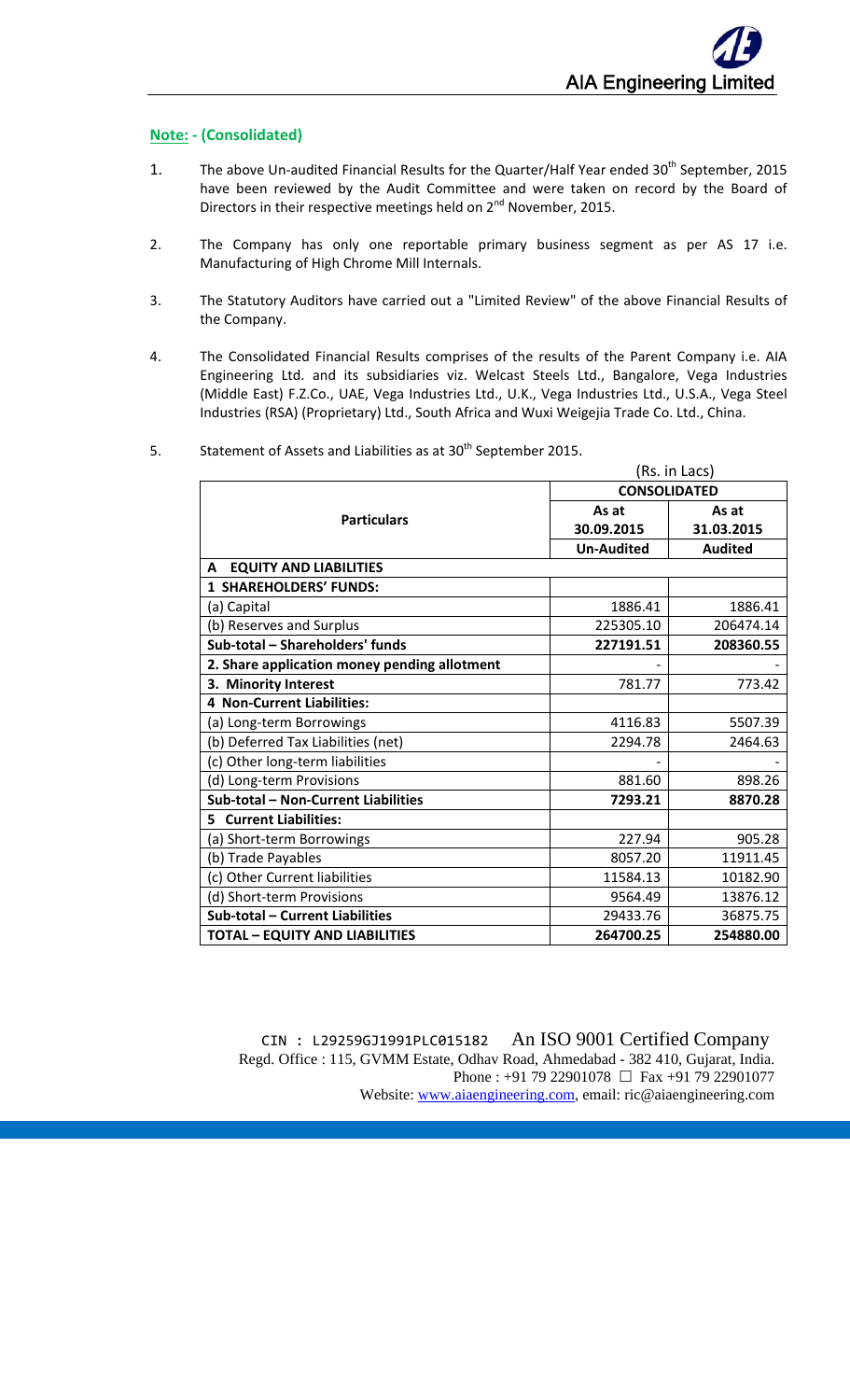# **Note: ‐ (Consolidated)**

- 1. The above Un-audited Financial Results for the Quarter/Half Year ended 30<sup>th</sup> September, 2015 have been reviewed by the Audit Committee and were taken on record by the Board of Directors in their respective meetings held on 2<sup>nd</sup> November, 2015.
- 2. The Company has only one reportable primary business segment as per AS 17 i.e. Manufacturing of High Chrome Mill Internals.
- 3. The Statutory Auditors have carried out a "Limited Review" of the above Financial Results of the Company.
- 4. The Consolidated Financial Results comprises of the results of the Parent Company i.e. AIA Engineering Ltd. and its subsidiaries viz. Welcast Steels Ltd., Bangalore, Vega Industries (Middle East) F.Z.Co., UAE, Vega Industries Ltd., U.K., Vega Industries Ltd., U.S.A., Vega Steel Industries (RSA) (Proprietary) Ltd., South Africa and Wuxi Weigejia Trade Co. Ltd., China.
- 5. Statement of Assets and Liabilities as at  $30<sup>th</sup>$  September 2015.

|                                              |                     | (Rs. in Lacs)  |  |
|----------------------------------------------|---------------------|----------------|--|
|                                              | <b>CONSOLIDATED</b> |                |  |
| <b>Particulars</b>                           | As at               | As at          |  |
|                                              | 30.09.2015          | 31.03.2015     |  |
|                                              | <b>Un-Audited</b>   | <b>Audited</b> |  |
| <b>EQUITY AND LIABILITIES</b><br>A           |                     |                |  |
| <b>1 SHAREHOLDERS' FUNDS:</b>                |                     |                |  |
| (a) Capital                                  | 1886.41             | 1886.41        |  |
| (b) Reserves and Surplus                     | 225305.10           | 206474.14      |  |
| Sub-total - Shareholders' funds              | 227191.51           | 208360.55      |  |
| 2. Share application money pending allotment |                     |                |  |
| 3. Minority Interest                         | 781.77              | 773.42         |  |
| <b>4 Non-Current Liabilities:</b>            |                     |                |  |
| (a) Long-term Borrowings                     | 4116.83             | 5507.39        |  |
| (b) Deferred Tax Liabilities (net)           | 2294.78             | 2464.63        |  |
| (c) Other long-term liabilities              |                     |                |  |
| (d) Long-term Provisions                     | 881.60              | 898.26         |  |
| Sub-total - Non-Current Liabilities          | 7293.21             | 8870.28        |  |
| <b>Current Liabilities:</b><br>5.            |                     |                |  |
| (a) Short-term Borrowings                    | 227.94              | 905.28         |  |
| (b) Trade Payables                           | 8057.20             | 11911.45       |  |
| (c) Other Current liabilities                | 11584.13            | 10182.90       |  |
| (d) Short-term Provisions                    | 9564.49             | 13876.12       |  |
| Sub-total - Current Liabilities              | 29433.76            | 36875.75       |  |
| <b>TOTAL - EQUITY AND LIABILITIES</b>        | 264700.25           | 254880.00      |  |

 CIN : L29259GJ1991PLC015182 An ISO 9001 Certified Company Regd. Office : 115, GVMM Estate, Odhav Road, Ahmedabad - 382 410, Gujarat, India. Phone : +91 79 22901078  $\Box$  Fax +91 79 22901077 Website: www.aiaengineering.com, email: ric@aiaengineering.com